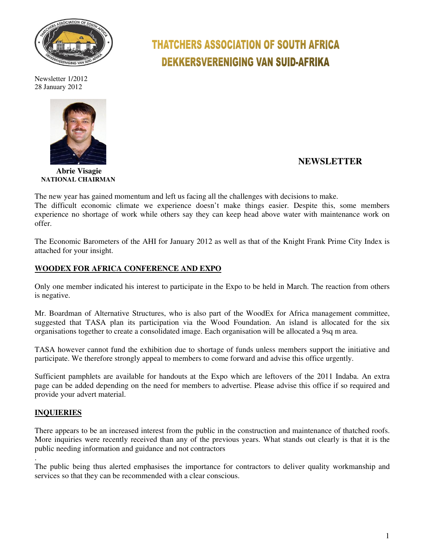

Newsletter 1/2012 28 January 2012



#### **Abrie Visagie NATIONAL CHAIRMAN**

# **THATCHERS ASSOCIATION OF SOUTH AFRICA DEKKERSVERENIGING VAN SUID-AFRIKA**

## **NEWSLETTER**

The new year has gained momentum and left us facing all the challenges with decisions to make. The difficult economic climate we experience doesn't make things easier. Despite this, some members experience no shortage of work while others say they can keep head above water with maintenance work on offer.

The Economic Barometers of the AHI for January 2012 as well as that of the Knight Frank Prime City Index is attached for your insight.

### **WOODEX FOR AFRICA CONFERENCE AND EXPO**

Only one member indicated his interest to participate in the Expo to be held in March. The reaction from others is negative.

Mr. Boardman of Alternative Structures, who is also part of the WoodEx for Africa management committee, suggested that TASA plan its participation via the Wood Foundation. An island is allocated for the six organisations together to create a consolidated image. Each organisation will be allocated a 9sq m area.

TASA however cannot fund the exhibition due to shortage of funds unless members support the initiative and participate. We therefore strongly appeal to members to come forward and advise this office urgently.

Sufficient pamphlets are available for handouts at the Expo which are leftovers of the 2011 Indaba. An extra page can be added depending on the need for members to advertise. Please advise this office if so required and provide your advert material.

#### **INQUIERIES**

There appears to be an increased interest from the public in the construction and maintenance of thatched roofs. More inquiries were recently received than any of the previous years. What stands out clearly is that it is the public needing information and guidance and not contractors

. The public being thus alerted emphasises the importance for contractors to deliver quality workmanship and services so that they can be recommended with a clear conscious.